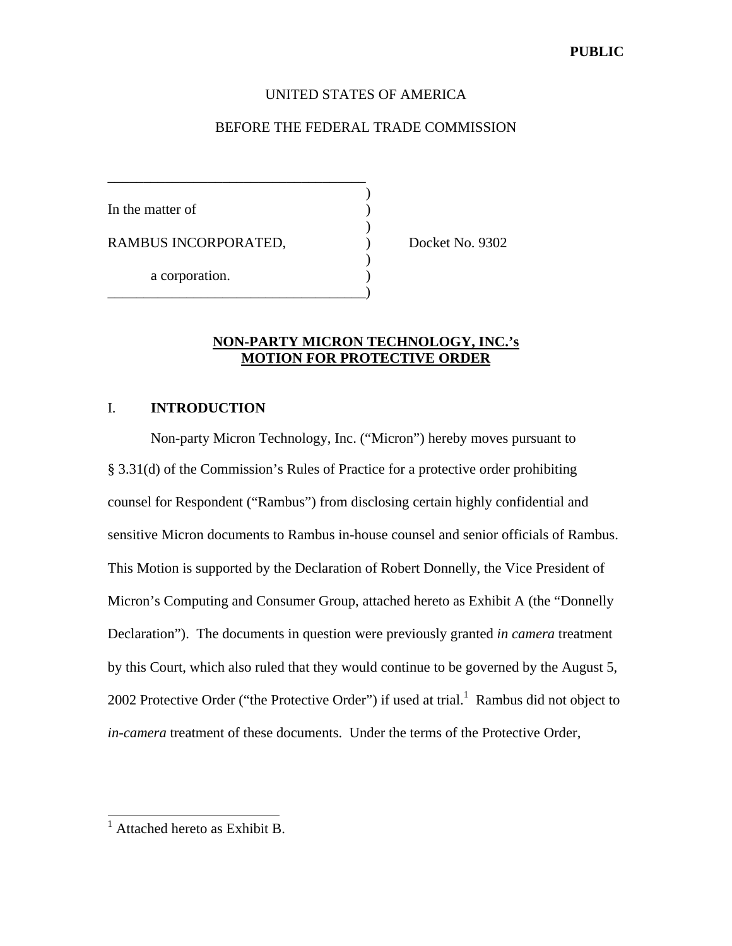## UNITED STATES OF AMERICA

## BEFORE THE FEDERAL TRADE COMMISSION

| In the matter of     |  |
|----------------------|--|
| RAMBUS INCORPORATED, |  |
| a corporation.       |  |

\_\_\_\_\_\_\_\_\_\_\_\_\_\_\_\_\_\_\_\_\_\_\_\_\_\_\_\_\_\_\_\_\_\_\_\_

Docket No. 9302

## **NON-PARTY MICRON TECHNOLOGY, INC.'s MOTION FOR PROTECTIVE ORDER**

## I. **INTRODUCTION**

Non-party Micron Technology, Inc. ("Micron") hereby moves pursuant to § 3.31(d) of the Commission's Rules of Practice for a protective order prohibiting counsel for Respondent ("Rambus") from disclosing certain highly confidential and sensitive Micron documents to Rambus in-house counsel and senior officials of Rambus. This Motion is supported by the Declaration of Robert Donnelly, the Vice President of Micron's Computing and Consumer Group, attached hereto as Exhibit A (the "Donnelly Declaration"). The documents in question were previously granted *in camera* treatment by this Court, which also ruled that they would continue to be governed by the August 5, 2002 Protective Order ("the Protective Order") if used at trial.<sup>1</sup> Rambus did not object to *in-camera* treatment of these documents. Under the terms of the Protective Order,

 1 Attached hereto as Exhibit B.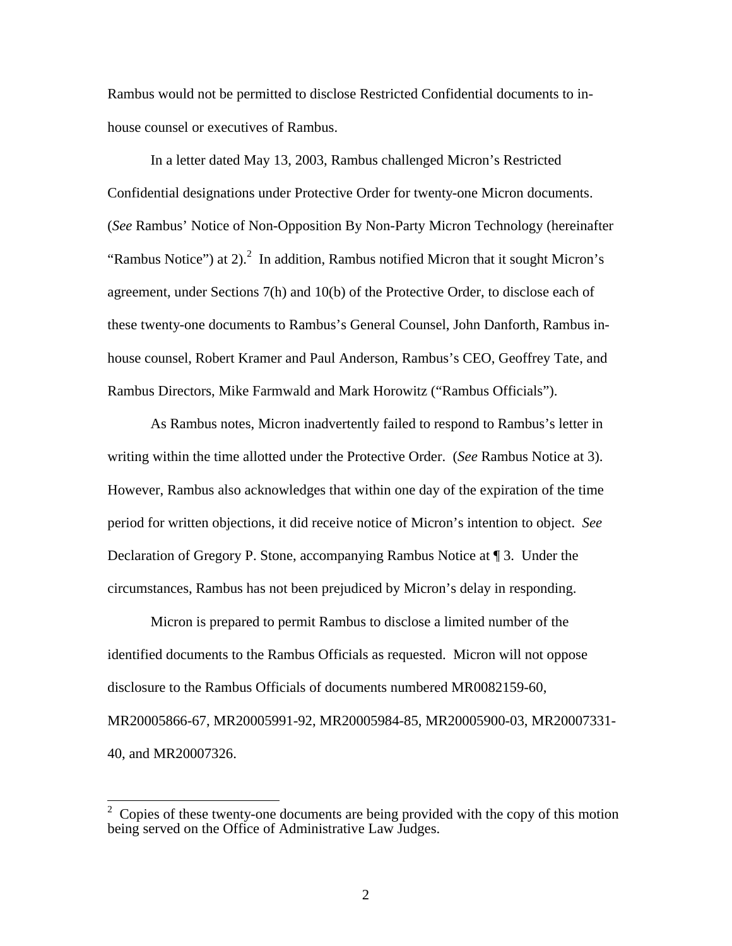Rambus would not be permitted to disclose Restricted Confidential documents to inhouse counsel or executives of Rambus.

In a letter dated May 13, 2003, Rambus challenged Micron's Restricted Confidential designations under Protective Order for twenty-one Micron documents. (*See* Rambus' Notice of Non-Opposition By Non-Party Micron Technology (hereinafter "Rambus Notice") at 2 $^{2}$  In addition, Rambus notified Micron that it sought Micron's agreement, under Sections 7(h) and 10(b) of the Protective Order, to disclose each of these twenty-one documents to Rambus's General Counsel, John Danforth, Rambus inhouse counsel, Robert Kramer and Paul Anderson, Rambus's CEO, Geoffrey Tate, and Rambus Directors, Mike Farmwald and Mark Horowitz ("Rambus Officials").

As Rambus notes, Micron inadvertently failed to respond to Rambus's letter in writing within the time allotted under the Protective Order. (*See* Rambus Notice at 3). However, Rambus also acknowledges that within one day of the expiration of the time period for written objections, it did receive notice of Micron's intention to object. *See* Declaration of Gregory P. Stone, accompanying Rambus Notice at ¶ 3. Under the circumstances, Rambus has not been prejudiced by Micron's delay in responding.

Micron is prepared to permit Rambus to disclose a limited number of the identified documents to the Rambus Officials as requested. Micron will not oppose disclosure to the Rambus Officials of documents numbered MR0082159-60, MR20005866-67, MR20005991-92, MR20005984-85, MR20005900-03, MR20007331- 40, and MR20007326.

 $\frac{1}{2}$  Copies of these twenty-one documents are being provided with the copy of this motion being served on the Office of Administrative Law Judges.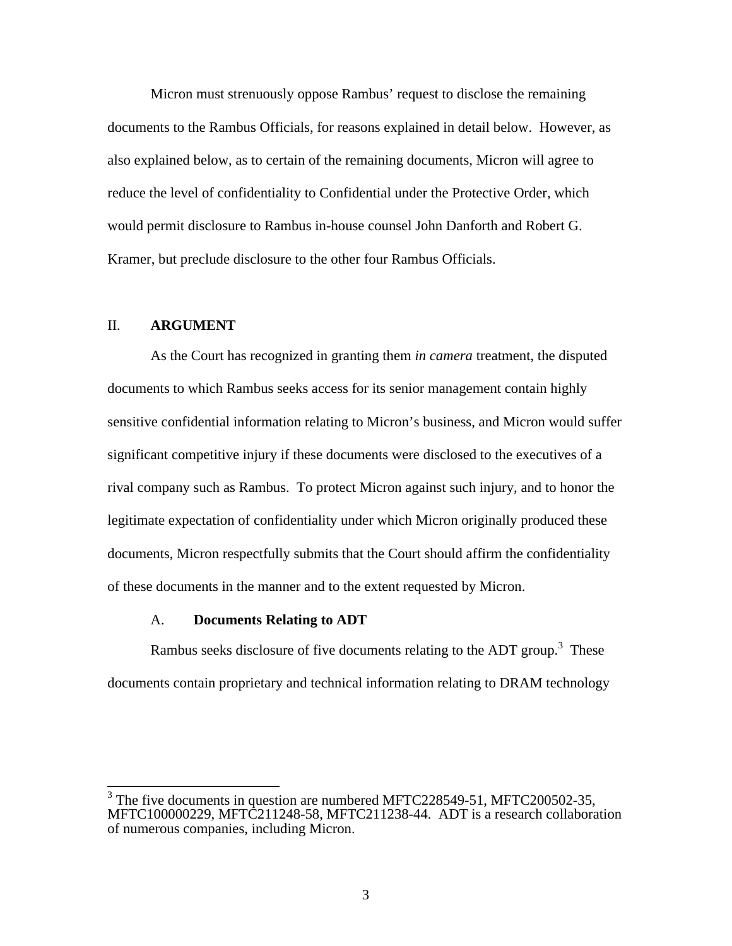Micron must strenuously oppose Rambus' request to disclose the remaining documents to the Rambus Officials, for reasons explained in detail below. However, as also explained below, as to certain of the remaining documents, Micron will agree to reduce the level of confidentiality to Confidential under the Protective Order, which would permit disclosure to Rambus in-house counsel John Danforth and Robert G. Kramer, but preclude disclosure to the other four Rambus Officials.

## II. **ARGUMENT**

As the Court has recognized in granting them *in camera* treatment, the disputed documents to which Rambus seeks access for its senior management contain highly sensitive confidential information relating to Micron's business, and Micron would suffer significant competitive injury if these documents were disclosed to the executives of a rival company such as Rambus. To protect Micron against such injury, and to honor the legitimate expectation of confidentiality under which Micron originally produced these documents, Micron respectfully submits that the Court should affirm the confidentiality of these documents in the manner and to the extent requested by Micron.

## A. **Documents Relating to ADT**

Rambus seeks disclosure of five documents relating to the ADT group.<sup>3</sup> These documents contain proprietary and technical information relating to DRAM technology

<sup>&</sup>lt;sup>3</sup> The five documents in question are numbered MFTC228549-51, MFTC200502-35, MFTC100000229, MFTC211248-58, MFTC211238-44. ADT is a research collaboration of numerous companies, including Micron.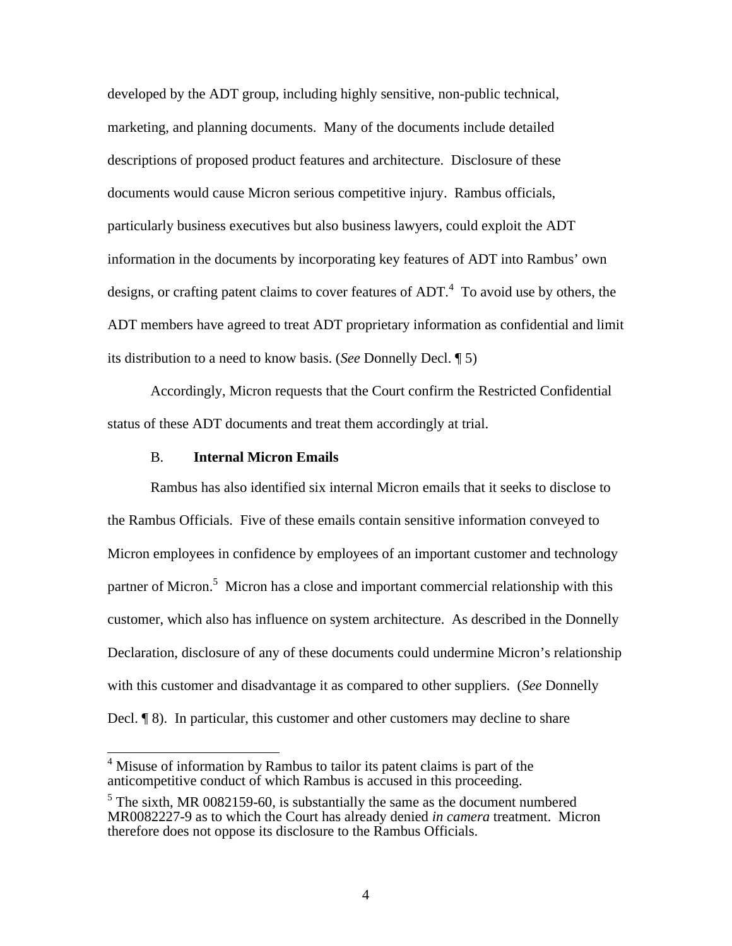developed by the ADT group, including highly sensitive, non-public technical, marketing, and planning documents. Many of the documents include detailed descriptions of proposed product features and architecture. Disclosure of these documents would cause Micron serious competitive injury. Rambus officials, particularly business executives but also business lawyers, could exploit the ADT information in the documents by incorporating key features of ADT into Rambus' own designs, or crafting patent claims to cover features of  $ADT<sup>4</sup>$ . To avoid use by others, the ADT members have agreed to treat ADT proprietary information as confidential and limit its distribution to a need to know basis. (*See* Donnelly Decl. ¶ 5)

Accordingly, Micron requests that the Court confirm the Restricted Confidential status of these ADT documents and treat them accordingly at trial.

### B. **Internal Micron Emails**

Rambus has also identified six internal Micron emails that it seeks to disclose to the Rambus Officials. Five of these emails contain sensitive information conveyed to Micron employees in confidence by employees of an important customer and technology partner of Micron.<sup>5</sup> Micron has a close and important commercial relationship with this customer, which also has influence on system architecture. As described in the Donnelly Declaration, disclosure of any of these documents could undermine Micron's relationship with this customer and disadvantage it as compared to other suppliers. (*See* Donnelly Decl. ¶ 8). In particular, this customer and other customers may decline to share

<sup>&</sup>lt;sup>4</sup> Misuse of information by Rambus to tailor its patent claims is part of the anticompetitive conduct of which Rambus is accused in this proceeding.

 $<sup>5</sup>$  The sixth, MR 0082159-60, is substantially the same as the document numbered</sup> MR0082227-9 as to which the Court has already denied *in camera* treatment. Micron therefore does not oppose its disclosure to the Rambus Officials.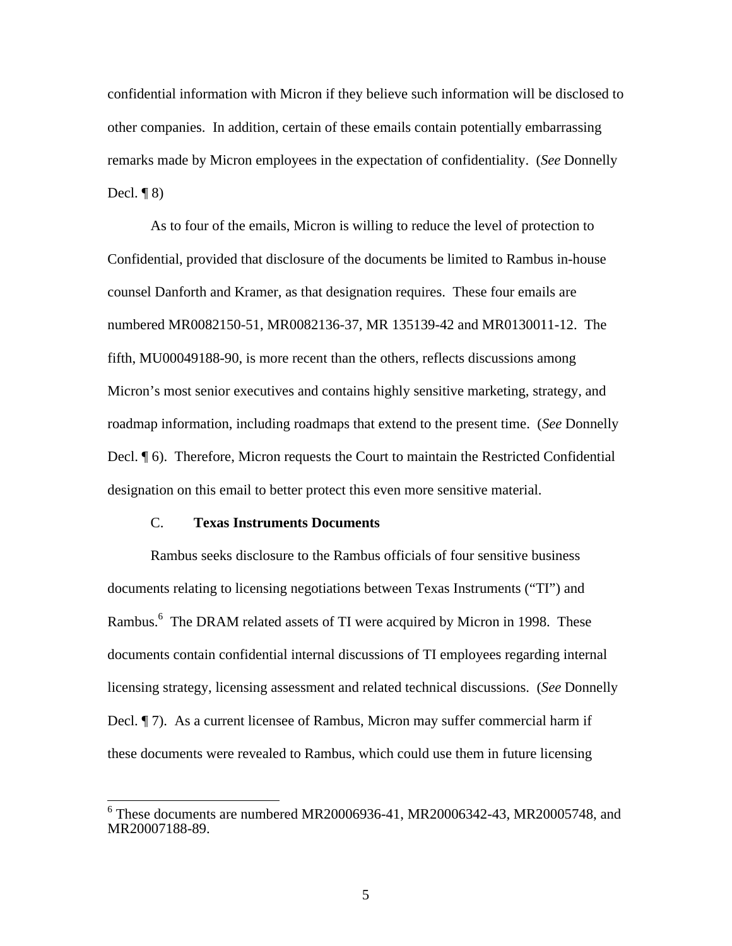confidential information with Micron if they believe such information will be disclosed to other companies. In addition, certain of these emails contain potentially embarrassing remarks made by Micron employees in the expectation of confidentiality. (*See* Donnelly Decl.  $\P(8)$ 

As to four of the emails, Micron is willing to reduce the level of protection to Confidential, provided that disclosure of the documents be limited to Rambus in-house counsel Danforth and Kramer, as that designation requires. These four emails are numbered MR0082150-51, MR0082136-37, MR 135139-42 and MR0130011-12. The fifth, MU00049188-90, is more recent than the others, reflects discussions among Micron's most senior executives and contains highly sensitive marketing, strategy, and roadmap information, including roadmaps that extend to the present time. (*See* Donnelly Decl. ¶ 6). Therefore, Micron requests the Court to maintain the Restricted Confidential designation on this email to better protect this even more sensitive material.

### C. **Texas Instruments Documents**

Rambus seeks disclosure to the Rambus officials of four sensitive business documents relating to licensing negotiations between Texas Instruments ("TI") and Rambus.<sup>6</sup> The DRAM related assets of TI were acquired by Micron in 1998. These documents contain confidential internal discussions of TI employees regarding internal licensing strategy, licensing assessment and related technical discussions. (*See* Donnelly Decl. ¶ 7). As a current licensee of Rambus, Micron may suffer commercial harm if these documents were revealed to Rambus, which could use them in future licensing

First Community of These documents are numbered MR20006936-41, MR20006342-43, MR20005748, and MR20007188-89.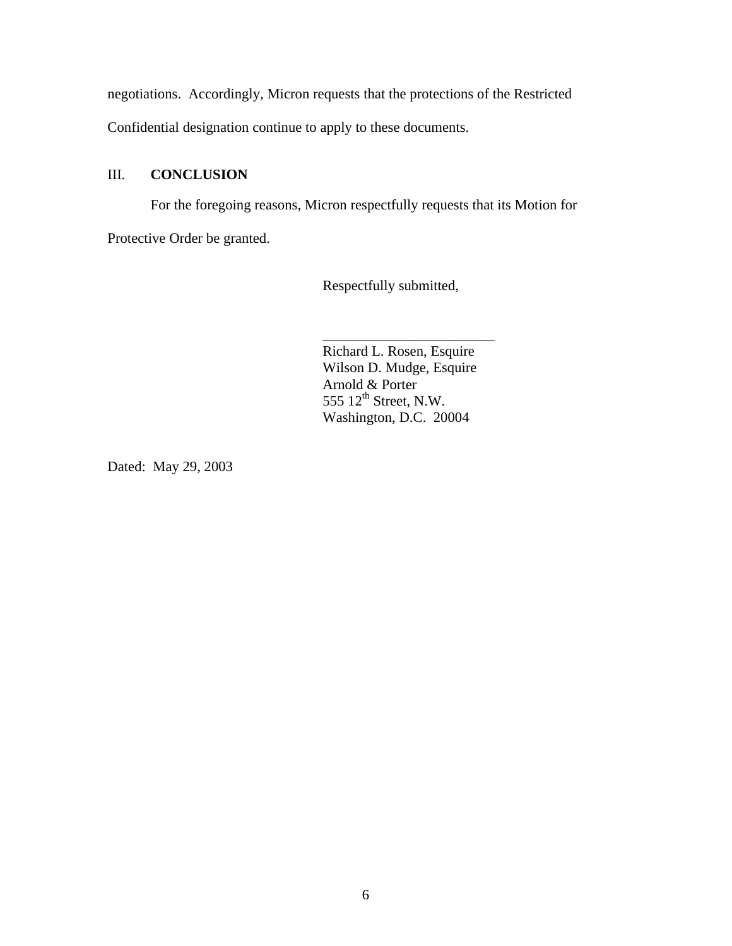negotiations. Accordingly, Micron requests that the protections of the Restricted

Confidential designation continue to apply to these documents.

# III. **CONCLUSION**

For the foregoing reasons, Micron respectfully requests that its Motion for Protective Order be granted.

Respectfully submitted,

Richard L. Rosen, Esquire Wilson D. Mudge, Esquire Arnold & Porter 555  $12<sup>th</sup>$  Street, N.W. Washington, D.C. 20004

\_\_\_\_\_\_\_\_\_\_\_\_\_\_\_\_\_\_\_\_\_\_\_\_

Dated: May 29, 2003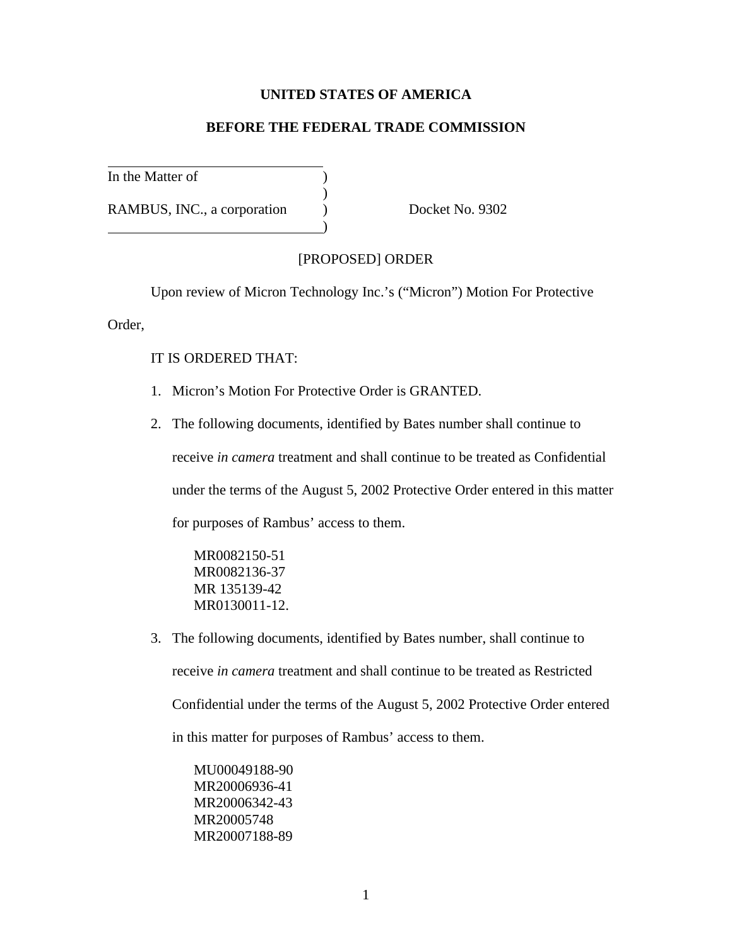## **UNITED STATES OF AMERICA**

## **BEFORE THE FEDERAL TRADE COMMISSION**

In the Matter of  $($ 

RAMBUS, INC., a corporation (b) Docket No. 9302

## [PROPOSED] ORDER

Upon review of Micron Technology Inc.'s ("Micron") Motion For Protective

Order,

## IT IS ORDERED THAT:

1. Micron's Motion For Protective Order is GRANTED.

)

)

2. The following documents, identified by Bates number shall continue to receive *in camera* treatment and shall continue to be treated as Confidential under the terms of the August 5, 2002 Protective Order entered in this matter for purposes of Rambus' access to them.

MR0082150-51 MR0082136-37 MR 135139-42 MR0130011-12.

3. The following documents, identified by Bates number, shall continue to receive *in camera* treatment and shall continue to be treated as Restricted Confidential under the terms of the August 5, 2002 Protective Order entered in this matter for purposes of Rambus' access to them.

MU00049188-90 MR20006936-41 MR20006342-43 MR20005748 MR20007188-89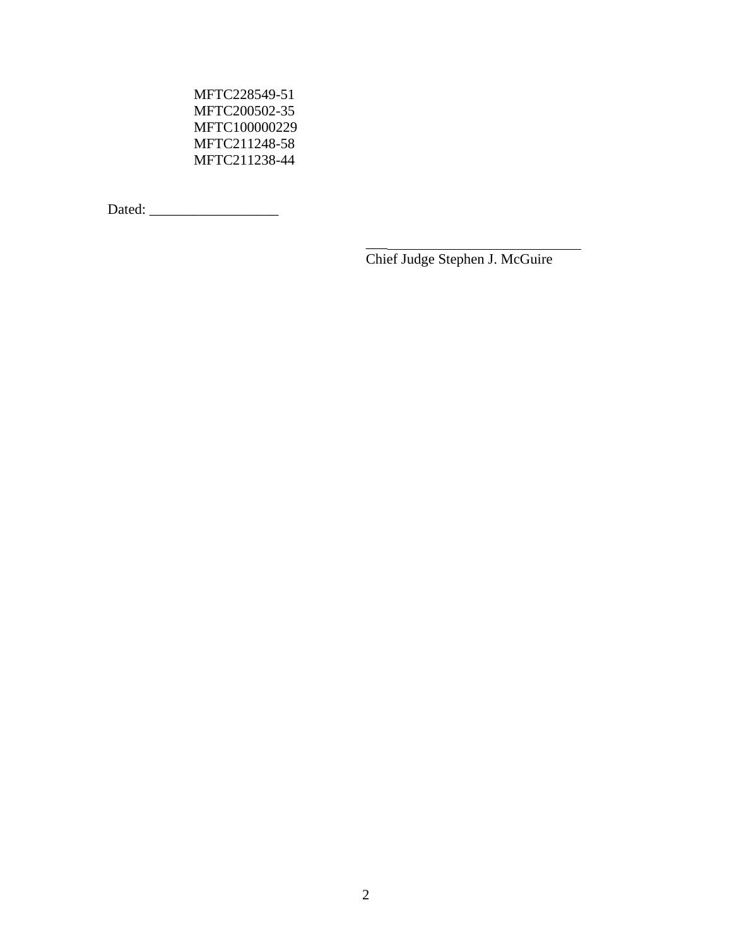MFTC228549-51 MFTC200502-35 MFTC100000229 MFTC211248-58 MFTC211238-44

Dated: \_\_\_\_\_\_\_\_\_\_\_\_\_\_\_\_\_\_

Chief Judge Stephen J. McGuire

 $\overline{\phantom{a}}$